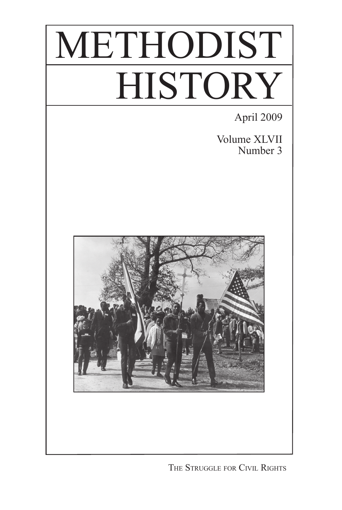# METHODIST **HISTORY**

April 2009

Volume XLVII Number 3



THE STRUGGLE FOR CIVIL RIGHTS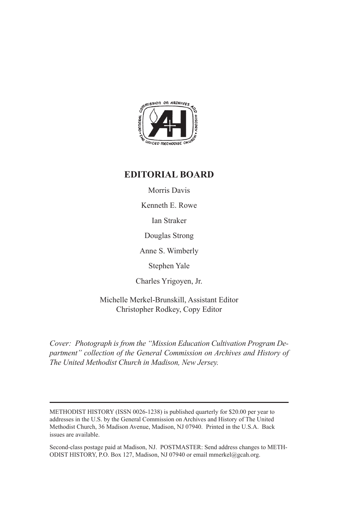

### **EDITORIAL BOARD**

Morris Davis

Kenneth E. Rowe

Ian Straker

Douglas Strong

Anne S. Wimberly

Stephen Yale

Charles Yrigoyen, Jr.

Michelle Merkel-Brunskill, Assistant Editor Christopher Rodkey, Copy Editor

*Cover: Photograph is from the "Mission Education Cultivation Program Department" collection of the General Commission on Archives and History of The United Methodist Church in Madison, New Jersey.*

METHODIST HISTORY (ISSN 0026-1238) is published quarterly for \$20.00 per year to addresses in the U.S. by the General Commission on Archives and History of The United Methodist Church, 36 Madison Avenue, Madison, NJ 07940. Printed in the U.S.A. Back issues are available.

Second-class postage paid at Madison, NJ. POSTMASTER: Send address changes to METH-ODIST HISTORY, P.O. Box 127, Madison, NJ 07940 or email mmerkel@gcah.org.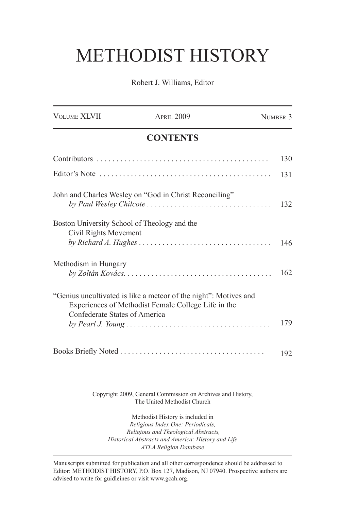## METHODIST HISTORY

Robert J. Williams, Editor

| <b>VOLUME XLVII</b>                                                   | <b>APRIL 2009</b>                                                                                                       | NUMBER 3 |
|-----------------------------------------------------------------------|-------------------------------------------------------------------------------------------------------------------------|----------|
|                                                                       | <b>CONTENTS</b>                                                                                                         |          |
|                                                                       |                                                                                                                         | 130      |
|                                                                       |                                                                                                                         | 131      |
|                                                                       | John and Charles Wesley on "God in Christ Reconciling"<br>by Paul Wesley Chilcote                                       | 132      |
| Boston University School of Theology and the<br>Civil Rights Movement |                                                                                                                         | 146      |
| Methodism in Hungary                                                  |                                                                                                                         | 162      |
|                                                                       | "Genius uncultivated is like a meteor of the night": Motives and<br>Experiences of Methodist Female College Life in the |          |
|                                                                       |                                                                                                                         | 179      |
|                                                                       |                                                                                                                         | 192      |
| Confederate States of America                                         |                                                                                                                         |          |

Copyright 2009, General Commission on Archives and History, The United Methodist Church

Methodist History is included in *Religious Index One: Periodicals, Religious and Theological Abstracts, Historical Abstracts and America: History and Life ATLA Religion Database*

Manuscripts submitted for publication and all other correspondence should be addressed to Editor: METHODIST HISTORY, P.O. Box 127, Madison, NJ 07940. Prospective authors are advised to write for guidleines or visit www.gcah.org.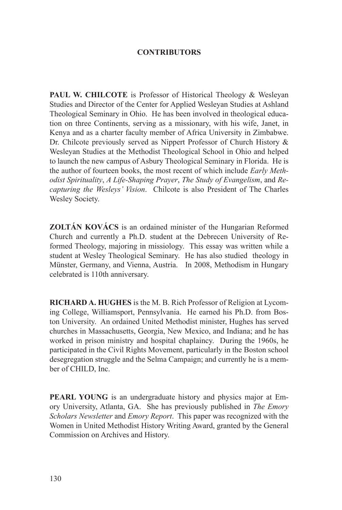### **CONTRIBUTORS**

**PAUL W. CHILCOTE** is Professor of Historical Theology & Wesleyan Studies and Director of the Center for Applied Wesleyan Studies at Ashland Theological Seminary in Ohio. He has been involved in theological education on three Continents, serving as a missionary, with his wife, Janet, in Kenya and as a charter faculty member of Africa University in Zimbabwe. Dr. Chilcote previously served as Nippert Professor of Church History & Wesleyan Studies at the Methodist Theological School in Ohio and helped to launch the new campus of Asbury Theological Seminary in Florida. He is the author of fourteen books, the most recent of which include *Early Methodist Spirituality*, *A Life-Shaping Prayer*, *The Study of Evangelism*, and *Recapturing the Wesleys' Vision*. Chilcote is also President of The Charles Wesley Society.

**ZOLTÁN KOVÁCS** is an ordained minister of the Hungarian Reformed Church and currently a Ph.D. student at the Debrecen University of Reformed Theology, majoring in missiology. This essay was written while a student at Wesley Theological Seminary. He has also studied theology in Münster, Germany, and Vienna, Austria. In 2008, Methodism in Hungary celebrated is 110th anniversary.

**RICHARD A. HUGHES** is the M. B. Rich Professor of Religion at Lycoming College, Williamsport, Pennsylvania. He earned his Ph.D. from Boston University. An ordained United Methodist minister, Hughes has served churches in Massachusetts, Georgia, New Mexico, and Indiana; and he has worked in prison ministry and hospital chaplaincy. During the 1960s, he participated in the Civil Rights Movement, particularly in the Boston school desegregation struggle and the Selma Campaign; and currently he is a member of CHILD, Inc.

**PEARL YOUNG** is an undergraduate history and physics major at Emory University, Atlanta, GA. She has previously published in *The Emory Scholars Newsletter* and *Emory Report*. This paper was recognized with the Women in United Methodist History Writing Award, granted by the General Commission on Archives and History.